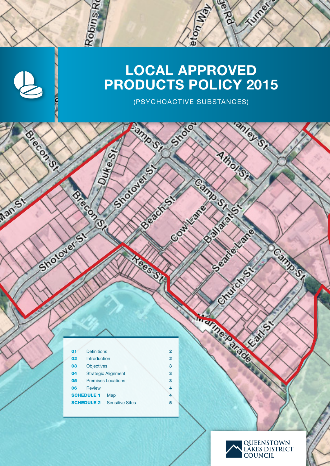# LOCAL APPROVED PRODUCTS POLICY 2015

 $\ddot{\text{o}}$ 

Contractor

**Australian** 

**BINGLIC** 

Alhons

Contractor of Contractor

Dec 100

**CONSTRUCTION OF CONSTRUCTION OF CONSTRUCTION** 

COMPOST

Camp St St St St St

Court of Bread

(PSYCHOACTIVE SUBSTANCES)

Strote

Famp St

**Department** 

Reel SP

Chicago de California

| 01 | <b>Definitions</b>                          | 2 |
|----|---------------------------------------------|---|
| 02 | Introduction                                | 2 |
| 03 | <b>Objectives</b>                           | 3 |
| 04 | <b>Strategic Alignment</b>                  | 3 |
| 05 | <b>Premises Locations</b>                   | з |
| 06 | <b>Review</b>                               | 4 |
|    | <b>SCHEDULE 1</b><br>Map                    | 4 |
|    | <b>SCHEDULE 2</b><br><b>Sensitive Sites</b> | 5 |

Robins<sub>Ro</sub>

Spirite St.

BREEZE

**Control** 

Shotover St

OSICOSOFI

Man St



**COLLECTION**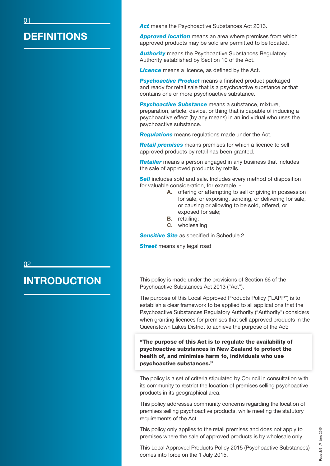#### **DEFINITIONS**

Act means the Psychoactive Substances Act 2013.

*Approved location* means an area where premises from which approved products may be sold are permitted to be located.

**Authority** means the Psychoactive Substances Regulatory Authority established by Section 10 of the Act.

*Licence* means a licence, as defined by the Act.

**Psychoactive Product** means a finished product packaged and ready for retail sale that is a psychoactive substance or that contains one or more psychoactive substance.

**Psychoactive Substance** means a substance, mixture, preparation, article, device, or thing that is capable of inducing a psychoactive effect (by any means) in an individual who uses the psychoactive substance.

*Regulations* means regulations made under the Act.

*Retail premises* means premises for which a licence to sell approved products by retail has been granted.

*Retailer* means a person engaged in any business that includes the sale of approved products by retails.

**Sell** includes sold and sale. Includes every method of disposition for valuable consideration, for example, -

- A. offering or attempting to sell or giving in possession for sale, or exposing, sending, or delivering for sale, or causing or allowing to be sold, offered, or exposed for sale;
- B. retailing;
- C. wholesaling

**Sensitive Site** as specified in Schedule 2

**Street** means any legal road

This policy is made under the provisions of Section 66 of the Psychoactive Substances Act 2013 ("Act").

The purpose of this Local Approved Products Policy ("LAPP") is to establish a clear framework to be applied to all applications that the Psychoactive Substances Regulatory Authority ("Authority") considers when granting licences for premises that sell approved products in the Queenstown Lakes District to achieve the purpose of the Act:

"The purpose of this Act is to regulate the availability of psychoactive substances in New Zealand to protect the health of, and minimise harm to, individuals who use psychoactive substances."

The policy is a set of criteria stipulated by Council in consultation with its community to restrict the location of premises selling psychoactive products in its geographical area.

This policy addresses community concerns regarding the location of premises selling psychoactive products, while meeting the statutory requirements of the Act.

This policy only applies to the retail premises and does not apply to premises where the sale of approved products is by wholesale only.

This Local Approved Products Policy 2015 (Psychoactive Substances) comes into force on the 1 July 2015.

02

#### INTRODUCTION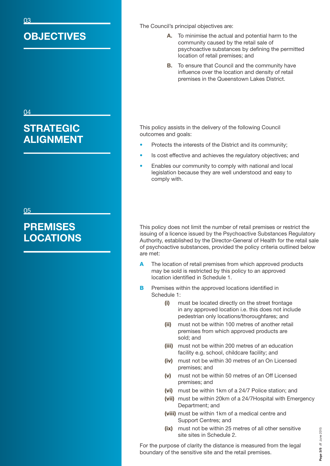# **OBJECTIVES**

#### 04

03

# **STRATEGIC** ALIGNMENT

#### 05

# **PREMISES** LOCATIONS

The Council's principal objectives are:

- A. To minimise the actual and potential harm to the community caused by the retail sale of psychoactive substances by defining the permitted location of retail premises; and
- **B.** To ensure that Council and the community have influence over the location and density of retail premises in the Queenstown Lakes District.

This policy assists in the delivery of the following Council outcomes and goals:

- Protects the interests of the District and its community:
- Is cost effective and achieves the regulatory objectives; and
- Enables our community to comply with national and local legislation because they are well understood and easy to comply with.

This policy does not limit the number of retail premises or restrict the issuing of a licence issued by the Psychoactive Substances Regulatory Authority, established by the Director-General of Health for the retail sale of psychoactive substances, provided the policy criteria outlined below are met:

- A The location of retail premises from which approved products may be sold is restricted by this policy to an approved location identified in Schedule 1.
- **B** Premises within the approved locations identified in Schedule 1:
	- (i) must be located directly on the street frontage in any approved location i.e. this does not include pedestrian only locations/thoroughfares; and
	- (ii) must not be within 100 metres of another retail premises from which approved products are sold; and
	- (iii) must not be within 200 metres of an education facility e.g. school, childcare facility; and
	- (iv) must not be within 30 metres of an On Licensed premises; and
	- (v) must not be within 50 metres of an Off Licensed premises; and
	- (vi) must be within 1km of a 24/7 Police station; and
	- (vii) must be within 20km of a 24/7Hospital with Emergency Department; and
	- (viii) must be within 1km of a medical centre and Support Centres; and
	- (ix) must not be within 25 metres of all other sensitive site sites in Schedule 2.

For the purpose of clarity the distance is measured from the legal boundary of the sensitive site and the retail premises.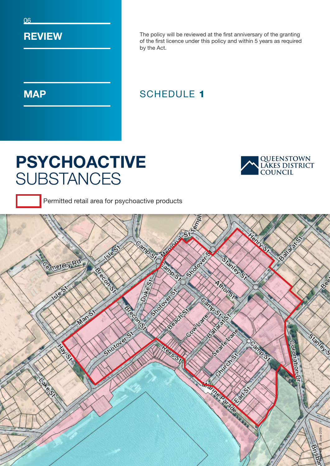06

#### **REVIEW**

**MAP** 

The policy will be reviewed at the first anniversary of the granting of the first licence under this policy and within 5 years as required by the Act.

### SCHEDULE 1

# PSYCHOACTIVE **SUBSTANCES**



Permitted retail area for psychoactive products